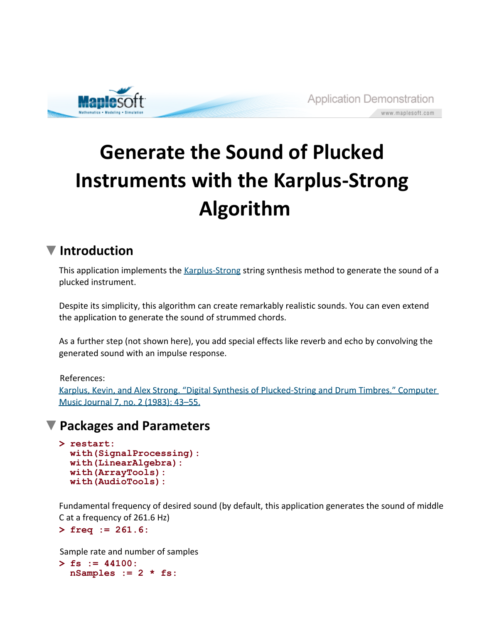

# **Generate the Sound of Plucked Instruments with the Karplus-Strong Algorithm**

# **Introduction**

This application implements the Karplus-Strong string synthesis method to generate the sound of a plucked instrument.

Despite its simplicity, this algorithm can create remarkably realistic sounds. You can even extend the application to generate the sound of strummed chords.

As a further step (not shown here), you add special effects like reverb and echo by convolving the generated sound with an impulse response.

#### References:

Karplus, Kevin, and Alex Strong. "Digital Synthesis of Plucked-String and Drum Timbres." Computer Music Journal 7, no. 2 (1983): 43-55.

### **Packages and Parameters**

```
> 
restart:
 with(SignalProcessing):
 with(LinearAlgebra):
 with(ArrayTools):
 with(AudioTools):
```
Fundamental frequency of desired sound (by default, this application generates the sound of middle C at a frequency of 261.6 Hz)

```
> 
freq := 261.6:
```
Sample rate and number of samples

```
> 
fs := 44100:
 nSamples := 2 * fs:
```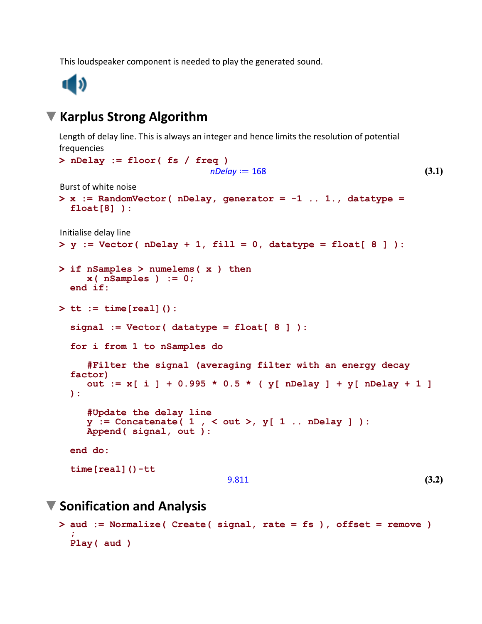This loudspeaker component is needed to play the generated sound.



#### **Karplus Strong Algorithm**

Length of delay line. This is always an integer and hence limits the resolution of potential frequencies

```
> 
nDelay := floor( fs / freq )
                                                                      (3.1)
                            nDelay := 168Burst of white noise
> 
x := RandomVector( nDelay, generator = -1 .. 1., datatype = 
  float[8] ):
Initialise delay line
> 
y := Vector( nDelay + 1, fill = 0, datatype = float[ 8 ] ):
> 
if nSamples > numelems( x ) then
      x( nSamples ) := 0;
 end if:
> 
tt := time[real]():
  signal := Vector( datatype = float[ 8 ] ):
  for i from 1 to nSamples do
      #Filter the signal (averaging filter with an energy decay 
  factor)
      out := x[ i ] + 0.995 * 0.5 * ( y[ nDelay ] + y[ nDelay + 1 ]
  ):
      #Update the delay line
      y := Concatenate( 1 , < out >, y[ 1 .. nDelay ] ):
      Append( signal, out ):
 end do:
  time[real]()-tt
                                                                      (3.2)
                                9.811
```
#### **Sonification and Analysis**

```
> 
aud := Normalize( Create( signal, rate = fs ), offset = remove )
  ;
 Play( aud )
```